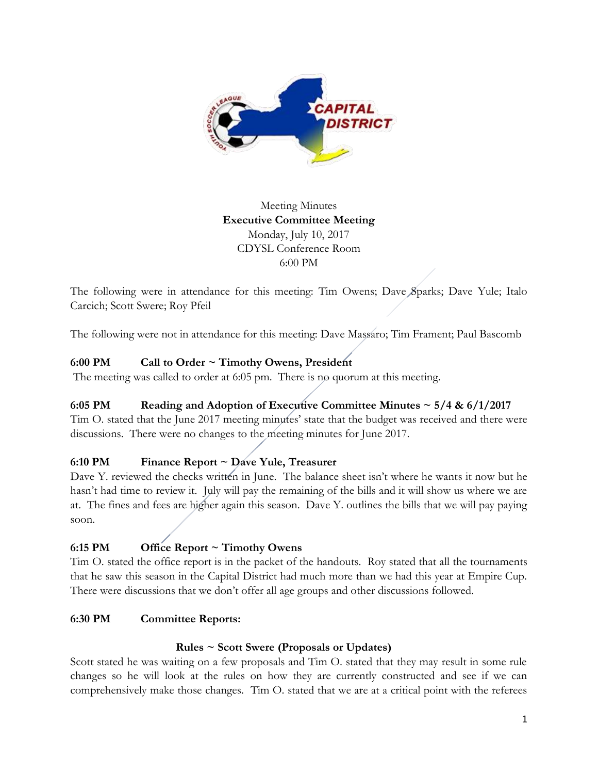

# Meeting Minutes **Executive Committee Meeting**  Monday, July 10, 2017 CDYSL Conference Room 6:00 PM

The following were in attendance for this meeting: Tim Owens; Dave Sparks; Dave Yule; Italo Carcich; Scott Swere; Roy Pfeil

The following were not in attendance for this meeting: Dave Massaro; Tim Frament; Paul Bascomb

### **6:00 PM Call to Order ~ Timothy Owens, President**

The meeting was called to order at 6:05 pm. There is no quorum at this meeting.

### **6:05 PM Reading and Adoption of Executive Committee Minutes ~ 5/4 & 6/1/2017**

Tim O. stated that the June 2017 meeting minutes' state that the budget was received and there were discussions. There were no changes to the meeting minutes for June 2017.

### **6:10 PM Finance Report ~ Dave Yule, Treasurer**

Dave Y. reviewed the checks written in June. The balance sheet isn't where he wants it now but he hasn't had time to review it. July will pay the remaining of the bills and it will show us where we are at. The fines and fees are higher again this season. Dave Y. outlines the bills that we will pay paying soon.

## **6:15 PM Office Report ~ Timothy Owens**

Tim O. stated the office report is in the packet of the handouts. Roy stated that all the tournaments that he saw this season in the Capital District had much more than we had this year at Empire Cup. There were discussions that we don't offer all age groups and other discussions followed.

### **6:30 PM Committee Reports:**

### **Rules ~ Scott Swere (Proposals or Updates)**

Scott stated he was waiting on a few proposals and Tim O. stated that they may result in some rule changes so he will look at the rules on how they are currently constructed and see if we can comprehensively make those changes. Tim O. stated that we are at a critical point with the referees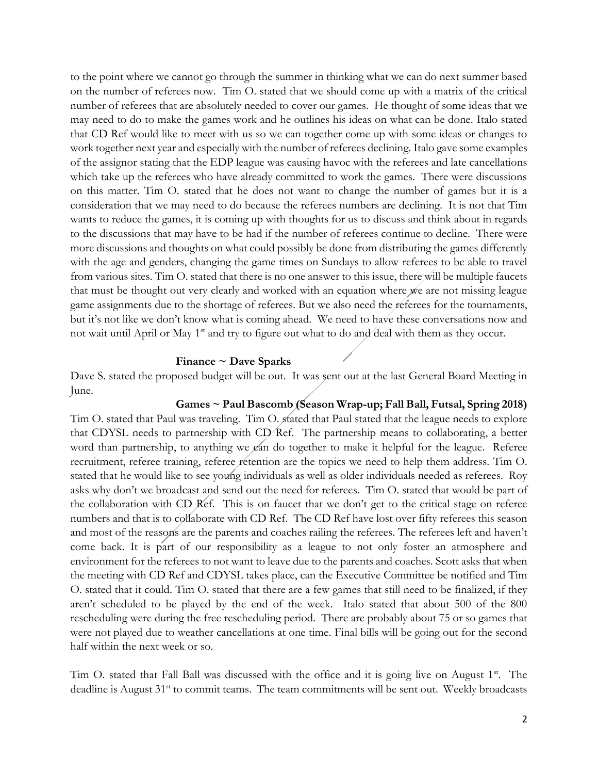to the point where we cannot go through the summer in thinking what we can do next summer based on the number of referees now. Tim O. stated that we should come up with a matrix of the critical number of referees that are absolutely needed to cover our games. He thought of some ideas that we may need to do to make the games work and he outlines his ideas on what can be done. Italo stated that CD Ref would like to meet with us so we can together come up with some ideas or changes to work together next year and especially with the number of referees declining. Italo gave some examples of the assignor stating that the EDP league was causing havoc with the referees and late cancellations which take up the referees who have already committed to work the games. There were discussions on this matter. Tim O. stated that he does not want to change the number of games but it is a consideration that we may need to do because the referees numbers are declining. It is not that Tim wants to reduce the games, it is coming up with thoughts for us to discuss and think about in regards to the discussions that may have to be had if the number of referees continue to decline. There were more discussions and thoughts on what could possibly be done from distributing the games differently with the age and genders, changing the game times on Sundays to allow referees to be able to travel from various sites. Tim O. stated that there is no one answer to this issue, there will be multiple faucets that must be thought out very clearly and worked with an equation where we are not missing league game assignments due to the shortage of referees. But we also need the referees for the tournaments, but it's not like we don't know what is coming ahead. We need to have these conversations now and not wait until April or May 1<sup>st</sup> and try to figure out what to do and deal with them as they occur.

#### **Finance ~ Dave Sparks**

Dave S. stated the proposed budget will be out. It was sent out at the last General Board Meeting in June.

#### **Games ~ Paul Bascomb (Season Wrap-up; Fall Ball, Futsal, Spring 2018)**

Tim O. stated that Paul was traveling. Tim O. stated that Paul stated that the league needs to explore that CDYSL needs to partnership with CD Ref. The partnership means to collaborating, a better word than partnership, to anything we can do together to make it helpful for the league. Referee recruitment, referee training, referee retention are the topics we need to help them address. Tim O. stated that he would like to see young individuals as well as older individuals needed as referees. Roy asks why don't we broadcast and send out the need for referees. Tim O. stated that would be part of the collaboration with CD Ref. This is on faucet that we don't get to the critical stage on referee numbers and that is to collaborate with CD Ref. The CD Ref have lost over fifty referees this season and most of the reasons are the parents and coaches railing the referees. The referees left and haven't come back. It is part of our responsibility as a league to not only foster an atmosphere and environment for the referees to not want to leave due to the parents and coaches. Scott asks that when the meeting with CD Ref and CDYSL takes place, can the Executive Committee be notified and Tim O. stated that it could. Tim O. stated that there are a few games that still need to be finalized, if they aren't scheduled to be played by the end of the week. Italo stated that about 500 of the 800 rescheduling were during the free rescheduling period. There are probably about 75 or so games that were not played due to weather cancellations at one time. Final bills will be going out for the second half within the next week or so.

Tim O. stated that Fall Ball was discussed with the office and it is going live on August  $1<sup>st</sup>$ . The deadline is August 31<sup>st</sup> to commit teams. The team commitments will be sent out. Weekly broadcasts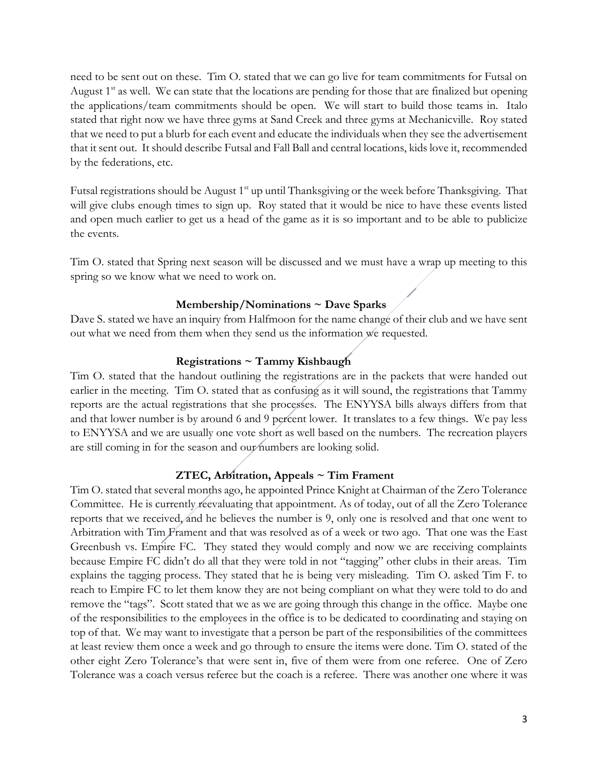need to be sent out on these. Tim O. stated that we can go live for team commitments for Futsal on August  $1<sup>st</sup>$  as well. We can state that the locations are pending for those that are finalized but opening the applications/team commitments should be open. We will start to build those teams in. Italo stated that right now we have three gyms at Sand Creek and three gyms at Mechanicville. Roy stated that we need to put a blurb for each event and educate the individuals when they see the advertisement that it sent out. It should describe Futsal and Fall Ball and central locations, kids love it, recommended by the federations, etc.

Futsal registrations should be August 1<sup>st</sup> up until Thanksgiving or the week before Thanksgiving. That will give clubs enough times to sign up. Roy stated that it would be nice to have these events listed and open much earlier to get us a head of the game as it is so important and to be able to publicize the events.

Tim O. stated that Spring next season will be discussed and we must have a wrap up meeting to this spring so we know what we need to work on.

### **Membership/Nominations ~ Dave Sparks**

Dave S. stated we have an inquiry from Halfmoon for the name change of their club and we have sent out what we need from them when they send us the information we requested.

#### **Registrations ~ Tammy Kishbaugh**

Tim O. stated that the handout outlining the registrations are in the packets that were handed out earlier in the meeting. Tim O. stated that as confusing as it will sound, the registrations that Tammy reports are the actual registrations that she processes. The ENYYSA bills always differs from that and that lower number is by around 6 and 9 percent lower. It translates to a few things. We pay less to ENYYSA and we are usually one vote short as well based on the numbers. The recreation players are still coming in for the season and our numbers are looking solid.

### **ZTEC, Arbitration, Appeals ~ Tim Frament**

Tim O. stated that several months ago, he appointed Prince Knight at Chairman of the Zero Tolerance Committee. He is currently reevaluating that appointment. As of today, out of all the Zero Tolerance reports that we received, and he believes the number is 9, only one is resolved and that one went to Arbitration with Tim Frament and that was resolved as of a week or two ago. That one was the East Greenbush vs. Empire FC. They stated they would comply and now we are receiving complaints because Empire FC didn't do all that they were told in not "tagging" other clubs in their areas. Tim explains the tagging process. They stated that he is being very misleading. Tim O. asked Tim F. to reach to Empire FC to let them know they are not being compliant on what they were told to do and remove the "tags". Scott stated that we as we are going through this change in the office. Maybe one of the responsibilities to the employees in the office is to be dedicated to coordinating and staying on top of that. We may want to investigate that a person be part of the responsibilities of the committees at least review them once a week and go through to ensure the items were done. Tim O. stated of the other eight Zero Tolerance's that were sent in, five of them were from one referee. One of Zero Tolerance was a coach versus referee but the coach is a referee. There was another one where it was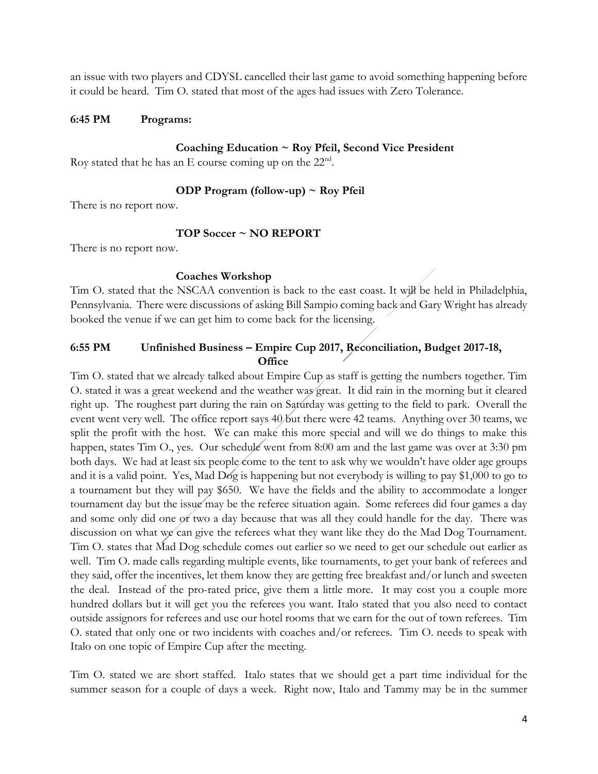an issue with two players and CDYSL cancelled their last game to avoid something happening before it could be heard. Tim O. stated that most of the ages had issues with Zero Tolerance.

#### **6:45 PM Programs:**

#### **Coaching Education ~ Roy Pfeil, Second Vice President**

Roy stated that he has an E course coming up on the  $22<sup>nd</sup>$ .

#### **ODP Program (follow-up) ~ Roy Pfeil**

There is no report now.

#### **TOP Soccer ~ NO REPORT**

There is no report now.

#### **Coaches Workshop**

Tim O. stated that the NSCAA convention is back to the east coast. It will be held in Philadelphia, Pennsylvania. There were discussions of asking Bill Sampio coming back and Gary Wright has already booked the venue if we can get him to come back for the licensing.

## **6:55 PM Unfinished Business – Empire Cup 2017, Reconciliation, Budget 2017-18, Office**

Tim O. stated that we already talked about Empire Cup as staff is getting the numbers together. Tim O. stated it was a great weekend and the weather was great. It did rain in the morning but it cleared right up. The roughest part during the rain on Saturday was getting to the field to park. Overall the event went very well. The office report says 40 but there were 42 teams. Anything over 30 teams, we split the profit with the host. We can make this more special and will we do things to make this happen, states Tim O., yes. Our schedule went from 8:00 am and the last game was over at 3:30 pm both days. We had at least six people come to the tent to ask why we wouldn't have older age groups and it is a valid point. Yes, Mad Dog is happening but not everybody is willing to pay \$1,000 to go to a tournament but they will pay \$650. We have the fields and the ability to accommodate a longer tournament day but the issue may be the referee situation again. Some referees did four games a day and some only did one or two a day because that was all they could handle for the day. There was discussion on what we can give the referees what they want like they do the Mad Dog Tournament. Tim O. states that Mad Dog schedule comes out earlier so we need to get our schedule out earlier as well. Tim O. made calls regarding multiple events, like tournaments, to get your bank of referees and they said, offer the incentives, let them know they are getting free breakfast and/or lunch and sweeten the deal. Instead of the pro-rated price, give them a little more. It may cost you a couple more hundred dollars but it will get you the referees you want. Italo stated that you also need to contact outside assignors for referees and use our hotel rooms that we earn for the out of town referees. Tim O. stated that only one or two incidents with coaches and/or referees. Tim O. needs to speak with Italo on one topic of Empire Cup after the meeting.

Tim O. stated we are short staffed. Italo states that we should get a part time individual for the summer season for a couple of days a week. Right now, Italo and Tammy may be in the summer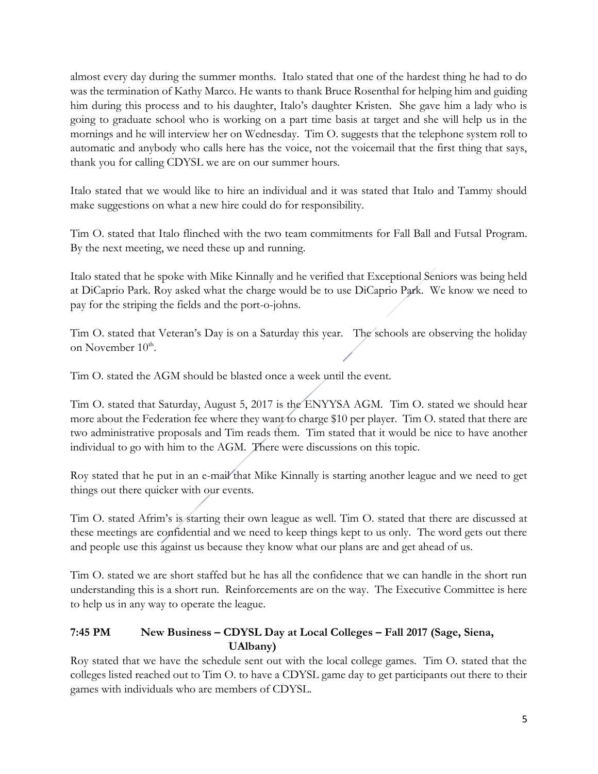almost every day during the summer months. Italo stated that one of the hardest thing he had to do was the termination of Kathy Marco. He wants to thank Bruce Rosenthal for helping him and guiding him during this process and to his daughter, Italo's daughter Kristen. She gave him a lady who is going to graduate school who is working on a part time basis at target and she will help us in the mornings and he will interview her on Wednesday. Tim O. suggests that the telephone system roll to automatic and anybody who calls here has the voice, not the voicemail that the first thing that says, thank you for calling CDYSL we are on our summer hours.

Italo stated that we would like to hire an individual and it was stated that Italo and Tammy should make suggestions on what a new hire could do for responsibility.

Tim O. stated that Italo flinched with the two team commitments for Fall Ball and Futsal Program. By the next meeting, we need these up and running.

Italo stated that he spoke with Mike Kinnally and he verified that Exceptional Seniors was being held at DiCaprio Park. Roy asked what the charge would be to use DiCaprio Park. We know we need to pay for the striping the fields and the port-o-johns.

Tim O. stated that Veteran's Day is on a Saturday this year. The schools are observing the holiday on November 10<sup>th</sup>.

Tim O. stated the AGM should be blasted once a week until the event.

Tim O. stated that Saturday, August 5, 2017 is the ENYYSA AGM. Tim O. stated we should hear more about the Federation fee where they want to charge \$10 per player. Tim O. stated that there are two administrative proposals and Tim reads them. Tim stated that it would be nice to have another individual to go with him to the AGM. There were discussions on this topic.

Roy stated that he put in an e-mail that Mike Kinnally is starting another league and we need to get things out there quicker with our events.

Tim O. stated Afrim's is starting their own league as well. Tim O. stated that there are discussed at these meetings are confidential and we need to keep things kept to us only. The word gets out there and people use this against us because they know what our plans are and get ahead of us.

Tim O. stated we are short staffed but he has all the confidence that we can handle in the short run understanding this is a short run. Reinforcements are on the way. The Executive Committee is here to help us in any way to operate the league.

## **7:45 PM New Business – CDYSL Day at Local Colleges – Fall 2017 (Sage, Siena, UAlbany)**

Roy stated that we have the schedule sent out with the local college games. Tim O. stated that the colleges listed reached out to Tim O. to have a CDYSL game day to get participants out there to their games with individuals who are members of CDYSL.